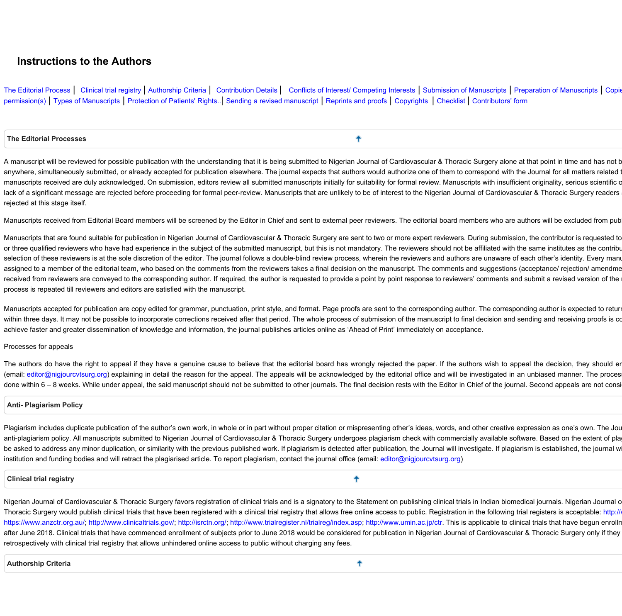# **Instructions to the Authors**

[The](#page-0-0) [Editorial](#page-0-0) [Process](#page-0-0) | [Clinical](#page-0-1) [trial](#page-0-1) [registry](#page-0-1) | [Authorship](#page-0-2) [Criteria](#page-0-2) | [Contribution](#page-1-0) [Details](#page-1-0) | [Conflicts](#page-1-1) [of](#page-2-1) [Interest/](#page-1-1) [Competing](#page-1-1) [Interests](#page-1-1) | [Submission](#page-1-2) of [Manuscripts](#page-2-0) | [Preparation](#page-2-0) of Manuscripts | Copie [permission\(s\)](#page-2-1) | [Types](#page-2-2) [of](#page-5-0) [Manuscripts](#page-2-2) | [Protection](#page-5-0) of [Patients'](#page-5-0) [Rights..](#page-5-0) | [Sending](#page-6-0) [a](#page-6-0) [revised](#page-6-0) [manuscript](#page-6-0) | [Reprints](#page-6-1) [and](#page-6-1) [proofs](#page-6-1) | [Copyrights](#page-6-2) [|](#page-6-2) [Checklist](#page-6-3) | [Contributors'](#page-7-0) [form](#page-7-0)

ቶ

#### <span id="page-0-0"></span> **The Editorial Processes**

A manuscript will be reviewed for possible publication with the understanding that it is being submitted to Nigerian Journal of Cardiovascular & Thoracic Surgery alone at that point in time and has not b anywhere, simultaneously submitted, or already accepted for publication elsewhere. The journal expects that authors would authorize one of them to correspond with the Journal for all matters related t manuscripts received are duly acknowledged. On submission, editors review all submitted manuscripts initially for suitability for formal review. Manuscripts with insufficient originality, serious scientific c lack of a significant message are rejected before proceeding for formal peer-review. Manuscripts that are unlikely to be of interest to the Nigerian Journal of Cardiovascular & Thoracic Surgery readers **rejected at this stage itself.**

Manuscripts received from Editorial Board members will be screened by the Editor in Chief and sent to external peer reviewers. The editorial board members who are authors will be excluded from pub

Manuscripts that are found suitable for publication in Nigerian Journal of Cardiovascular & Thoracic Surgery are sent to two or more expert reviewers. During submission, the contributor is requested to or three qualified reviewers who have had experience in the subject of the submitted manuscript, but this is not mandatory. The reviewers should not be affiliated with the same institutes as the contribu selection of these reviewers is at the sole discretion of the editor. The journal follows a double-blind review process, wherein the reviewers and authors are unaware of each other's identity. Every manu assigned to a member of the editorial team, who based on the comments from the reviewers takes a final decision on the manuscript. The comments and suggestions (acceptance/ rejection/ amendme received from reviewers are conveyed to the corresponding author. If required, the author is requested to provide a point by point response to reviewers' comments and submit a revised version of the **process is repeated till reviewers and editors are satisfied with the manuscript.**

Manuscripts accepted for publication are copy edited for grammar, punctuation, print style, and format. Page proofs are sent to the corresponding author. The corresponding author is expected to return within three days. It may not be possible to incorporate corrections received after that period. The whole process of submission of the manuscript to final decision and sending and receiving proofs is co achieve faster and greater dissemination of knowledge and information, the journal publishes articles online as 'Ahead of Print' immediately on acceptance.

## **Processes for appeals**

The authors do have the right to appeal if they have a genuine cause to believe that the editorial board has wrongly rejected the paper. If the authors wish to appeal the decision, they should er (email: editor@nigjourcytsurg.org) explaining in detail the reason for the appeal. The appeals will be acknowledged by the editorial office and will be investigated in an unbiased manner. The proces done within 6 - 8 weeks. While under appeal, the said manuscript should not be submitted to other journals. The final decision rests with the Editor in Chief of the journal. Second appeals are not consi

## <span id="page-0-1"></span> **Anti- Plagiarism Policy**

Plagiarism includes duplicate publication of the author's own work, in whole or in part without proper citation or mispresenting other's ideas, words, and other creative expression as one's own. The Jou anti-plagiarism policy. All manuscripts submitted to Nigerian Journal of Cardiovascular & Thoracic Surgery undergoes plagiarism check with commercially available software. Based on the extent of pla be asked to address any minor duplication, or similarity with the previous published work. If plagiarism is detected after publication, the Journal will investigate. If plagiarism is established, the journal w institution and funding bodies and will retract the plagiarised article. To report plagiarism, contact the journal office (email: editor@nigjourcytsurg.org)

## **Clinical trial registry**

ቶ

<span id="page-0-2"></span>Nigerian Journal of Cardiovascular & Thoracic Surgery favors registration of clinical trials and is a signatory to the Statement on publishing clinical trials in Indian biomedical journals. Nigerian Journal of Thoracic Surgery would publish clinical trials that have been registered with a clinical trial registry that allows free online access to public. Registration in the following trial registers is acceptable: http:// <https://www.anzctr.org.au/>; <http://www.clinicaltrials.gov/>; <http://isrctn.org/>; [http://www.trialregister.nl/trialreg/index.asp;](http://www.trialregister.nl/trialreg/index.asp) [http://www.umin.ac.jp/ctr.](http://www.umin.ac.jp/ctr) This is applicable to clinical trials that have begun enrolln after June 2018. Clinical trials that have commenced enrollment of subjects prior to June 2018 would be considered for publication in Nigerian Journal of Cardiovascular & Thoracic Surgery only if they retrospectively with clinical trial registry that allows unhindered online access to public without charging any fees.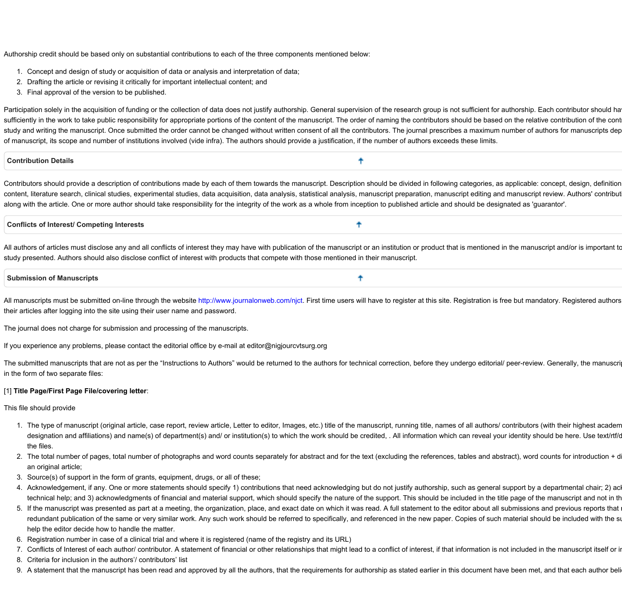Authorship credit should be based only on substantial contributions to each of the three components mentioned below:

- **1. Concept and design of study or acquisition of data or analysis and interpretation of data;**
- **2. Drafting the article or revising it critically for important intellectual content; and**
- **3. Final approval of the version to be published.**

Participation solely in the acquisition of funding or the collection of data does not justify authorship. General supervision of the research group is not sufficient for authorship. Each contributor should ha sufficiently in the work to take public responsibility for appropriate portions of the content of the manuscript. The order of naming the contributors should be based on the relative contribution of the cont study and writing the manuscript. Once submitted the order cannot be changed without written consent of all the contributors. The journal prescribes a maximum number of authors for manuscripts dep of manuscript, its scope and number of institutions involved (vide infra). The authors should provide a justification, if the number of authors exceeds these limits.

<span id="page-1-0"></span>

| <b>Contribution Details</b> |  |
|-----------------------------|--|
|                             |  |

Contributors should provide a description of contributions made by each of them towards the manuscript. Description should be divided in following categories, as applicable: concept, design, definition content, literature search, clinical studies, experimental studies, data acquisition, data analysis, statistical analysis, manuscript preparation, manuscript editing and manuscript review. Authors' contribut along with the article. One or more author should take responsibility for the integrity of the work as a whole from inception to published article and should be designated as 'guarantor'.

<span id="page-1-1"></span>

| <b>Conflicts of Interest/ Competing Interests</b> |  |  |
|---------------------------------------------------|--|--|
|                                                   |  |  |

All authors of articles must disclose any and all conflicts of interest they may have with publication of the manuscript or an institution or product that is mentioned in the manuscript and/or is important to study presented. Authors should also disclose conflict of interest with products that compete with those mentioned in their manuscript.

<span id="page-1-2"></span>

| the contract of the contract of the contract of the contract of the contract of the contract of the contract of<br><b>Submission of Manuscripts</b> |  |
|-----------------------------------------------------------------------------------------------------------------------------------------------------|--|
|                                                                                                                                                     |  |

All manuscripts must be submitted on-line through the website <http://www.journalonweb.com/njct>. First time users will have to register at this site. Registration is free but mandatory. Registered authors **their articles after logging into the site using their user name and password.**

**The journal does not charge for submission and processing of the manuscripts.**

**If you experience any problems, please contact the editorial office by e-mail at editor@nigjourcvtsurg.org**

The submitted manuscripts that are not as per the "Instructions to Authors" would be returned to the authors for technical correction, before they undergo editorial/ peer-review. Generally, the manuscri **in the form of two separate files:**

## **[1] Title Page/First Page File/covering letter:**

## **This file should provide**

- 1. The type of manuscript (original article, case report, review article, Letter to editor, Images, etc.) title of the manuscript, running title, names of all authors/ contributors (with their highest academ designation and affiliations) and name(s) of department(s) and/ or institution(s) to which the work should be credited, . All information which can reveal your identity should be here. Use text/rtf/c **the files.**
- 2. The total number of pages, total number of photographs and word counts separately for abstract and for the text (excluding the references, tables and abstract), word counts for introduction + d **an original article;**
- **3. Source(s) of support in the form of grants, equipment, drugs, or all of these;**
- 4. Acknowledgement, if any. One or more statements should specify 1) contributions that need acknowledging but do not justify authorship, such as general support by a departmental chair; 2) acl technical help; and 3) acknowledgments of financial and material support, which should specify the nature of the support. This should be included in the title page of the manuscript and not in th
- 5. If the manuscript was presented as part at a meeting, the organization, place, and exact date on which it was read. A full statement to the editor about all submissions and previous reports that redundant publication of the same or very similar work. Any such work should be referred to specifically, and referenced in the new paper. Copies of such material should be included with the su **help the editor decide how to handle the matter.**
- 6. Registration number in case of a clinical trial and where it is registered (name of the registry and its URL)
- 7. Conflicts of Interest of each author/ contributor. A statement of financial or other relationships that might lead to a conflict of interest, if that information is not included in the manuscript itself or ir
- **8. Criteria for inclusion in the authors'/ contributors' list**
- 9. A statement that the manuscript has been read and approved by all the authors, that the requirements for authorship as stated earlier in this document have been met, and that each author beli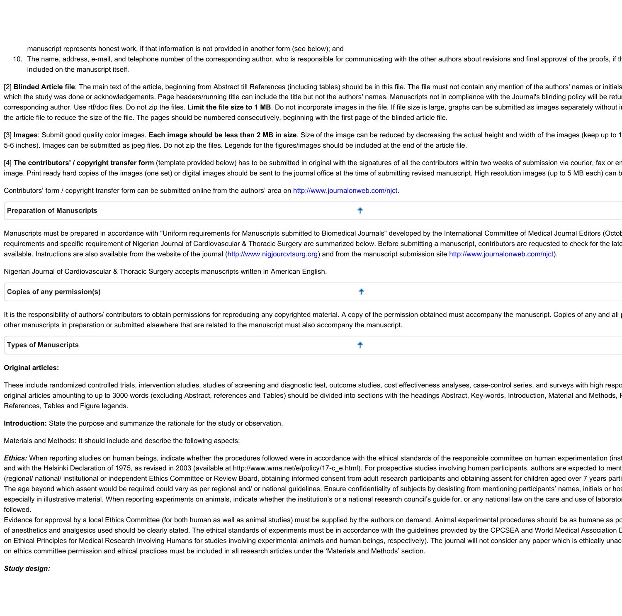**manuscript represents honest work, if that information is not provided in another form (see below); and**

10. The name, address, e-mail, and telephone number of the corresponding author, who is responsible for communicating with the other authors about revisions and final approval of the proofs, if the **included on the manuscript itself.**

[2] Blinded Article file: The main text of the article, beginning from Abstract till References (including tables) should be in this file. The file must not contain any mention of the authors' names or initials which the study was done or acknowledgements. Page headers/running title can include the title but not the authors' names. Manuscripts not in compliance with the Journal's blinding policy will be retu corresponding author. Use rtf/doc files. Do not zip the files. Limit the file size to 1 MB. Do not incorporate images in the file. If file size is large, graphs can be submitted as images separately without in the article file to reduce the size of the file. The pages should be numbered consecutively, beginning with the first page of the blinded article file.

[3] Images: Submit good quality color images. Each image should be less than 2 MB in size. Size of the image can be reduced by decreasing the actual height and width of the images (keep up to 1 5-6 inches). Images can be submitted as jpeg files. Do not zip the files. Legends for the figures/images should be included at the end of the article file.

[4] The contributors' / copyright transfer form (template provided below) has to be submitted in original with the signatures of all the contributors within two weeks of submission via courier, fax or er image. Print ready hard copies of the images (one set) or digital images should be sent to the journal office at the time of submitting revised manuscript. High resolution images (up to 5 MB each) can b

Contributors' form / copyright transfer form can be submitted online from the authors' area on <http://www.journalonweb.com/njct>.

<span id="page-2-0"></span>

| <b>Preparation of Manuscripts</b> |  |
|-----------------------------------|--|
|                                   |  |

Manuscripts must be prepared in accordance with "Uniform requirements for Manuscripts submitted to Biomedical Journals" developed by the International Committee of Medical Journal Editors (Octob requirements and specific requirement of Nigerian Journal of Cardiovascular & Thoracic Surgery are summarized below. Before submitting a manuscript, contributors are requested to check for the late available. Instructions are also available from the website of the journal (http://www.nigjourcytsurg.org) and from the manuscript submission site [http://www.journalonweb.com/njct\)](http://www.journalonweb.com/njct).

**Nigerian Journal of Cardiovascular & Thoracic Surgery accepts manuscripts written in American English.**

<span id="page-2-1"></span>

| Copies of any permission(s) |  |
|-----------------------------|--|
|                             |  |

It is the responsibility of authors/ contributors to obtain permissions for reproducing any copyrighted material. A copy of the permission obtained must accompany the manuscript. Copies of any and all other manuscripts in preparation or submitted elsewhere that are related to the manuscript must also accompany the manuscript.

<span id="page-2-2"></span>

| anuscripts<br>. . |
|-------------------|
|                   |

## **Original articles:**

These include randomized controlled trials, intervention studies, studies of screening and diagnostic test, outcome studies, cost effectiveness analyses, case-control series, and surveys with high respo original articles amounting to up to 3000 words (excluding Abstract, references and Tables) should be divided into sections with the headings Abstract, Key-words, Introduction, Material and Methods, F **References, Tables and Figure legends.**

**Introduction: State the purpose and summarize the rationale for the study or observation.** 

**Materials and Methods: It should include and describe the following aspects:**

Ethics: When reporting studies on human beings, indicate whether the procedures followed were in accordance with the ethical standards of the responsible committee on human experimentation (inst and with the Helsinki Declaration of 1975, as revised in 2003 (available at http://www.wma.net/e/policy/17-c e.html). For prospective studies involving human participants, authors are expected to ment (regional/ national/ institutional or independent Ethics Committee or Review Board, obtaining informed consent from adult research participants and obtaining assent for children aged over 7 years parti The age beyond which assent would be required could vary as per regional and/ or national guidelines. Ensure confidentiality of subjects by desisting from mentioning participants' names, initials or hos especially in illustrative material. When reporting experiments on animals, indicate whether the institution's or a national research council's guide for, or any national law on the care and use of laborato **followed.**

Evidence for approval by a local Ethics Committee (for both human as well as animal studies) must be supplied by the authors on demand. Animal experimental procedures should be as humane as po of anesthetics and analgesics used should be clearly stated. The ethical standards of experiments must be in accordance with the guidelines provided by the CPCSEA and World Medical Association D on Ethical Principles for Medical Research Involving Humans for studies involving experimental animals and human beings, respectively). The journal will not consider any paper which is ethically unac on ethics committee permission and ethical practices must be included in all research articles under the 'Materials and Methods' section.

*Study design:*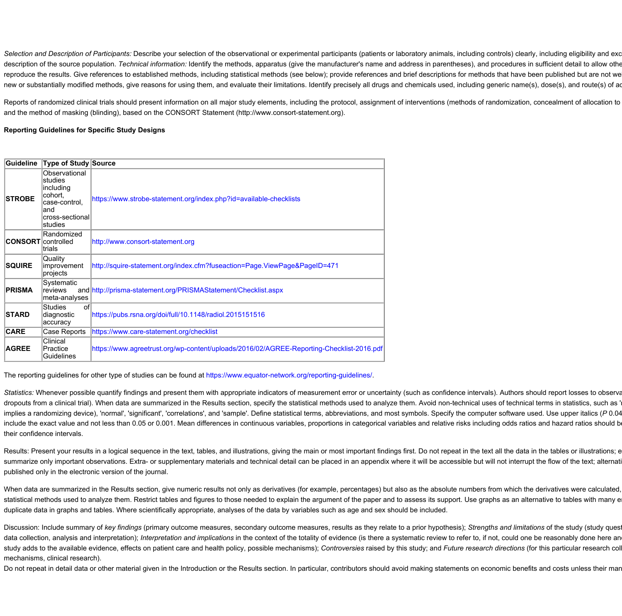Selection and Description of Participants: Describe your selection of the observational or experimental participants (patients or laboratory animals, including controls) clearly, including eligibility and exc description of the source population. Technical information: Identify the methods, apparatus (give the manufacturer's name and address in parentheses), and procedures in sufficient detail to allow othe reproduce the results. Give references to established methods, including statistical methods (see below); provide references and brief descriptions for methods that have been published but are not we new or substantially modified methods, give reasons for using them, and evaluate their limitations. Identify precisely all drugs and chemicals used, including generic name(s), dose(s), and route(s) of ad

Reports of randomized clinical trials should present information on all major study elements, including the protocol, assignment of interventions (methods of randomization, concealment of allocation to **and the method of masking (blinding), based on the CONSORT Statement (http://www.consort-statement.org).**

#### **Reporting Guidelines for Specific Study Designs**

| <b>Guideline</b>          | <b>Type of Study Source</b>                                                                            |                                                                                          |
|---------------------------|--------------------------------------------------------------------------------------------------------|------------------------------------------------------------------------------------------|
| <b>STROBE</b>             | Observational<br>studies<br>including<br>cohort.<br>case-control.<br>and<br>cross-sectional<br>studies | https://www.strobe-statement.org/index.php?id=available-checklists                       |
| <b>CONSORT</b> controlled | Randomized<br>trials                                                                                   | http://www.consort-statement.org                                                         |
| <b>SQUIRE</b>             | Quality<br>improvement<br>projects                                                                     | http://squire-statement.org/index.cfm?fuseaction=Page.ViewPage&PageID=471                |
| <b>PRISMA</b>             | Systematic<br>reviews<br>meta-analyses                                                                 | and http://prisma-statement.org/PRISMAStatement/Checklist.aspx                           |
| <b>STARD</b>              | <b>Studies</b><br>of<br>diagnostic<br>accuracy                                                         | https://pubs.rsna.org/doi/full/10.1148/radiol.2015151516                                 |
| <b>CARE</b>               | Case Reports                                                                                           | https://www.care-statement.org/checklist                                                 |
| <b>AGREE</b>              | Clinical<br>Practice<br>Guidelines                                                                     | https://www.agreetrust.org/wp-content/uploads/2016/02/AGREE-Reporting-Checklist-2016.pdf |

**The reporting guidelines for other type of studies can be found at [https://www.equator-network.org/reporting-guidelines/.](https://www.equator-network.org/reporting-guidelines/)** 

Statistics: Whenever possible quantify findings and present them with appropriate indicators of measurement error or uncertainty (such as confidence intervals). Authors should report losses to observa dropouts from a clinical trial). When data are summarized in the Results section, specify the statistical methods used to analyze them. Avoid non-technical uses of technical terms in statistics, such as ' implies a randomizing device), 'normal', 'significant', 'correlations', and 'sample'. Define statistical terms, abbreviations, and most symbols. Specify the computer software used. Use upper italics (P 0.04 include the exact value and not less than 0.05 or 0.001. Mean differences in continuous variables, proportions in categorical variables and relative risks including odds ratios and hazard ratios should be **their confidence intervals.**

Results: Present your results in a logical sequence in the text, tables, and illustrations, giving the main or most important findings first. Do not repeat in the text all the data in the tables or illustrations; e summarize only important observations. Extra- or supplementary materials and technical detail can be placed in an appendix where it will be accessible but will not interrupt the flow of the text; alternati **published only in the electronic version of the journal.**

When data are summarized in the Results section, give numeric results not only as derivatives (for example, percentages) but also as the absolute numbers from which the derivatives were calculated. statistical methods used to analyze them. Restrict tables and figures to those needed to explain the argument of the paper and to assess its support. Use graphs as an alternative to tables with many e duplicate data in graphs and tables. Where scientifically appropriate, analyses of the data by variables such as age and sex should be included.

Discussion: Include summary of key findings (primary outcome measures, secondary outcome measures, results as they relate to a prior hypothesis); Strengths and limitations of the study (study quest data collection, analysis and interpretation); Interpretation and implications in the context of the totality of evidence (is there a systematic review to refer to, if not, could one be reasonably done here an study adds to the available evidence, effects on patient care and health policy, possible mechanisms); Controversies raised by this study; and Future research directions (for this particular research coll **mechanisms, clinical research).**

Do not repeat in detail data or other material given in the Introduction or the Results section. In particular, contributors should avoid making statements on economic benefits and costs unless their man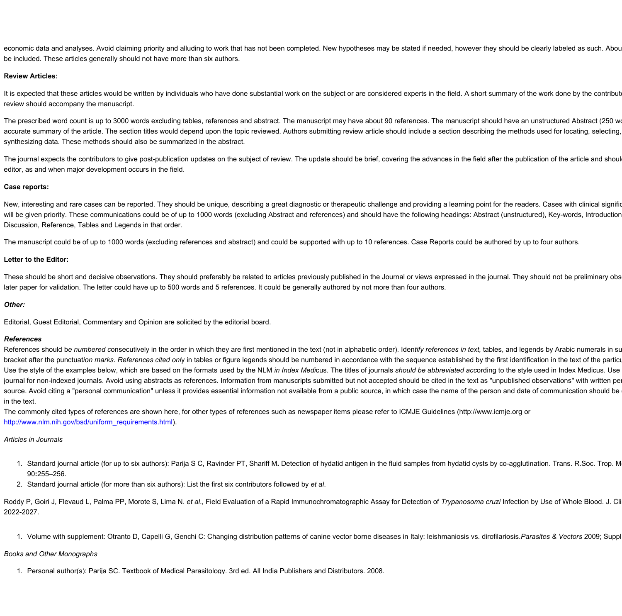economic data and analyses. Avoid claiming priority and alluding to work that has not been completed. New hypotheses may be stated if needed, however they should be clearly labeled as such. Abou **be included. These articles generally should not have more than six authors.**

## **Review Articles:**

It is expected that these articles would be written by individuals who have done substantial work on the subject or are considered experts in the field. A short summary of the work done by the contribute **review should accompany the manuscript.**

The prescribed word count is up to 3000 words excluding tables, references and abstract. The manuscript may have about 90 references. The manuscript should have an unstructured Abstract (250 words) accurate summary of the article. The section titles would depend upon the topic reviewed. Authors submitting review article should include a section describing the methods used for locating, selecting **synthesizing data. These methods should also be summarized in the abstract.**

The journal expects the contributors to give post-publication updates on the subject of review. The update should be brief, covering the advances in the field after the publication of the article and shoul **editor, as and when major development occurs in the field.**

## **Case reports:**

New, interesting and rare cases can be reported. They should be unique, describing a great diagnostic or therapeutic challenge and providing a learning point for the readers. Cases with clinical signific will be given priority. These communications could be of up to 1000 words (excluding Abstract and references) and should have the following headings: Abstract (unstructured), Key-words, Introduction **Discussion, Reference, Tables and Legends in that order.**

The manuscript could be of up to 1000 words (excluding references and abstract) and could be supported with up to 10 references. Case Reports could be authored by up to four authors.

#### **Letter to the Editor:**

These should be short and decisive observations. They should preferably be related to articles previously published in the Journal or views expressed in the journal. They should not be preliminary obs later paper for validation. The letter could have up to 500 words and 5 references. It could be generally authored by not more than four authors.

#### *Other:*

**Editorial, Guest Editorial, Commentary and Opinion are solicited by the editorial board.**

#### *References*

References should be numbered consecutively in the order in which they are first mentioned in the text (not in alphabetic order). Identify references in text, tables, and legends by Arabic numerals in su bracket after the punctuation marks. References cited only in tables or figure legends should be numbered in accordance with the sequence established by the first identification in the text of the particu Use the style of the examples below, which are based on the formats used by the NLM in Index Medicus. The titles of journals should be abbreviated according to the style used in Index Medicus. Use journal for non-indexed journals. Avoid using abstracts as references. Information from manuscripts submitted but not accepted should be cited in the text as "unpublished observations" with written per source. Avoid citing a "personal communication" unless it provides essential information not available from a public source, in which case the name of the person and date of communication should be **in the text.**

The commonly cited types of references are shown here, for other types of references such as newspaper items please refer to ICMJE Guidelines (http://www.icmje.org or **[http://www.nlm.nih.gov/bsd/uniform\\_requirements.html](http://www.nlm.nih.gov/bsd/uniform_requirements.html)).**

#### *Articles in Journals*

- 1. Standard journal article (for up to six authors): Parija S C, Ravinder PT, Shariff M. Detection of hydatid antigen in the fluid samples from hydatid cysts by co-agglutination. Trans. R.Soc. Trop. M **90:255–256.**
- 2. Standard journal article (for more than six authors): List the first six contributors followed by et al.

Roddy P. Goiri J. Flevaud L. Palma PP. Morote S. Lima N. et al., Field Evaluation of a Rapid Immunochromatographic Assay for Detection of Trypanosoma cruzi Infection by Use of Whole Blood. J. Cli **2022-2027.**

1. Volume with supplement: Otranto D, Capelli G, Genchi C: Changing distribution patterns of canine vector borne diseases in Italy: leishmaniosis vs. dirofilariosis. Parasites & Vectors 2009; Suppl

#### *Books and Other Monographs*

1. Personal author(s): Parija SC. Textbook of Medical Parasitology, 3rd ed. All India Publishers and Distributors, 2008.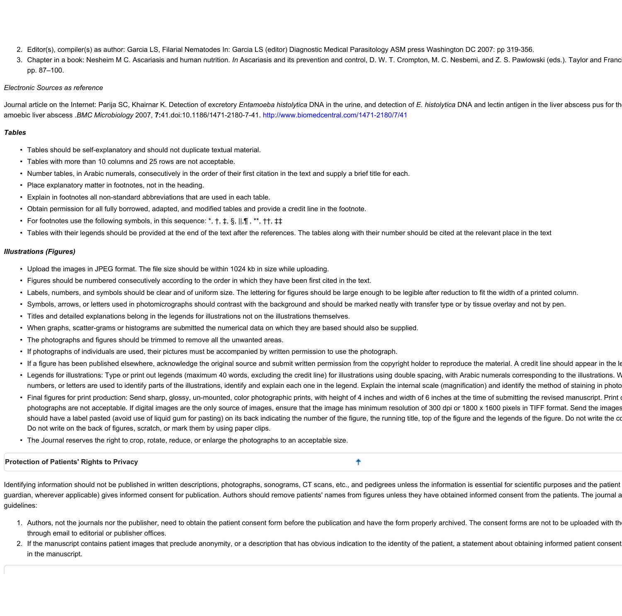- 2. Editor(s), compiler(s) as author: Garcia LS, Filarial Nematodes In: Garcia LS (editor) Diagnostic Medical Parasitology ASM press Washington DC 2007: pp 319-356.
- 3. Chapter in a book: Nesheim M C. Ascariasis and human nutrition. In Ascariasis and its prevention and control, D. W. T. Crompton, M. C. Nesbemi, and Z. S. Pawlowski (eds.). Taylor and Franc **pp. 87–100.**

# *Electronic Sources as reference*

Journal article on the Internet: Parija SC, Khairnar K. Detection of excretory Entamoeba histolytica DNA in the urine, and detection of E. histolytica DNA and lectin antigen in the liver abscess pus for th **amoebic liver abscess .***BMC Microbiology* **2007, 7:41.doi:10.1186/1471-2180-7-41. <http://www.biomedcentral.com/1471-2180/7/41>**

## *Tables*

- **• Tables should be self-explanatory and should not duplicate textual material.**
- **• Tables with more than 10 columns and 25 rows are not acceptable.**
- Number tables, in Arabic numerals, consecutively in the order of their first citation in the text and supply a brief title for each.
- **• Place explanatory matter in footnotes, not in the heading.**
- **• Explain in footnotes all non-standard abbreviations that are used in each table.**
- Obtain permission for all fully borrowed, adapted, and modified tables and provide a credit line in the footnote.
- **• For footnotes use the following symbols, in this sequence: \*, †, ‡, §, ||,¶ , \*\*, ††, ‡‡**
- Tables with their legends should be provided at the end of the text after the references. The tables along with their number should be cited at the relevant place in the text

## *Illustrations (Figures)*

- Upload the images in JPEG format. The file size should be within 1024 kb in size while uploading.
- Figures should be numbered consecutively according to the order in which they have been first cited in the text.
- Labels, numbers, and symbols should be clear and of uniform size. The lettering for figures should be large enough to be legible after reduction to fit the width of a printed column.
- . Symbols, arrows, or letters used in photomicrographs should contrast with the background and should be marked neatly with transfer type or by tissue overlay and not by pen.
- **• Titles and detailed explanations belong in the legends for illustrations not on the illustrations themselves.**
- When graphs, scatter-grams or histograms are submitted the numerical data on which they are based should also be supplied.
- **• The photographs and figures should be trimmed to remove all the unwanted areas.**
- If photographs of individuals are used, their pictures must be accompanied by written permission to use the photograph.
- If a figure has been published elsewhere, acknowledge the original source and submit written permission from the copyright holder to reproduce the material. A credit line should appear in the le
- Legends for illustrations: Type or print out legends (maximum 40 words, excluding the credit line) for illustrations using double spacing, with Arabic numerals corresponding to the illustrations. W numbers, or letters are used to identify parts of the illustrations, identify and explain each one in the legend. Explain the internal scale (magnification) and identify the method of staining in photo
- · Final figures for print production: Send sharp, glossy, un-mounted, color photographic prints, with height of 4 inches and width of 6 inches at the time of submitting the revised manuscript. Print of photographs are not acceptable. If digital images are the only source of images, ensure that the image has minimum resolution of 300 dpi or 1800 x 1600 pixels in TIFF format. Send the images should have a label pasted (avoid use of liquid gum for pasting) on its back indicating the number of the figure, the running title, top of the figure and the legends of the figure. Do not write the co **Do not write on the back of figures, scratch, or mark them by using paper clips.**

ቶ

• The Journal reserves the right to crop, rotate, reduce, or enlarge the photographs to an acceptable size.

## <span id="page-5-0"></span>**Protection of Patients' Rights to Privacy**

Identifying information should not be published in written descriptions, photographs, sonograms, CT scans, etc., and pedigrees unless the information is essential for scientific purposes and the patient guardian, wherever applicable) gives informed consent for publication. Authors should remove patients' names from figures unless they have obtained informed consent from the patients. The journal a **guidelines:**

- 1. Authors, not the journals nor the publisher, need to obtain the patient consent form before the publication and have the form properly archived. The consent forms are not to be uploaded with th **through email to editorial or publisher offices.**
- 2. If the manuscript contains patient images that preclude anonymity, or a description that has obvious indication to the identity of the patient, a statement about obtaining informed patient consent **in the manuscript.**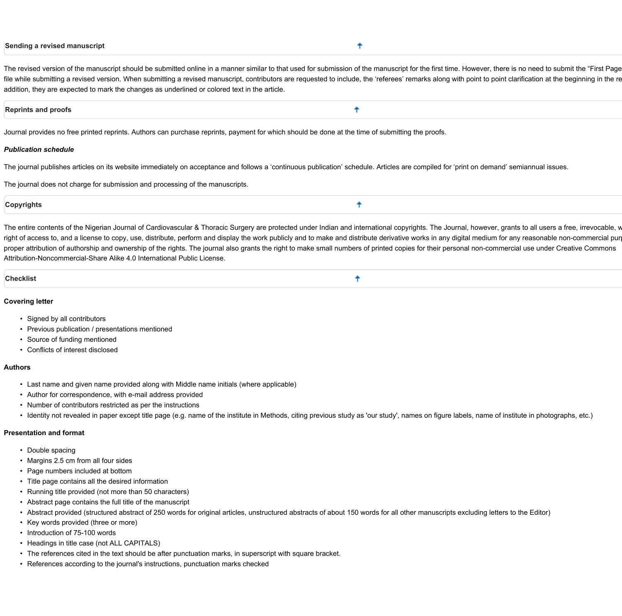#### <span id="page-6-0"></span>**Sending a revised manuscript**

The revised version of the manuscript should be submitted online in a manner similar to that used for submission of the manuscript for the first time. However, there is no need to submit the "First Page file while submitting a revised version. When submitting a revised manuscript, contributors are requested to include, the 'referees' remarks along with point to point clarification at the beginning in the re **addition, they are expected to mark the changes as underlined or colored text in the article.**

<span id="page-6-1"></span>

| <b>Reprints and proofs</b> |  |
|----------------------------|--|
|                            |  |

Journal provides no free printed reprints. Authors can purchase reprints, payment for which should be done at the time of submitting the proofs.

# *Publication schedule*

The journal publishes articles on its website immediately on acceptance and follows a 'continuous publication' schedule. Articles are compiled for 'print on demand' semiannual issues.

**The journal does not charge for submission and processing of the manuscripts.**

<span id="page-6-2"></span>

| <b>Copyrights</b><br>. . |
|--------------------------|
|--------------------------|

The entire contents of the Nigerian Journal of Cardiovascular & Thoracic Surgery are protected under Indian and international copyrights. The Journal, however, grants to all users a free, irrevocable, w right of access to, and a license to copy, use, distribute, perform and display the work publicly and to make and distribute derivative works in any digital medium for any reasonable non-commercial pure proper attribution of authorship and ownership of the rights. The journal also grants the right to make small numbers of printed copies for their personal non-commercial use under Creative Commons **Attribution-Noncommercial-Share Alike 4.0 International Public License.**

<span id="page-6-3"></span>

| <b>Checklist</b> |  |
|------------------|--|
|                  |  |

## **Covering letter**

- **• Signed by all contributors**
- **• Previous publication / presentations mentioned**
- **• Source of funding mentioned**
- **• Conflicts of interest disclosed**

## **Authors**

- **• Last name and given name provided along with Middle name initials (where applicable)**
- **• Author for correspondence, with e-mail address provided**
- **• Number of contributors restricted as per the instructions**
- · Identity not revealed in paper except title page (e.g. name of the institute in Methods, citing previous study as 'our study', names on figure labels, name of institute in photographs, etc.)

## **Presentation and format**

- **• Double spacing**
- **• Margins 2.5 cm from all four sides**
- **• Page numbers included at bottom**
- **• Title page contains all the desired information**
- **• Running title provided (not more than 50 characters)**
- **• Abstract page contains the full title of the manuscript**
- Abstract provided (structured abstract of 250 words for original articles, unstructured abstracts of about 150 words for all other manuscripts excluding letters to the Editor)
- **• Key words provided (three or more)**
- **• Introduction of 75-100 words**
- **• Headings in title case (not ALL CAPITALS)**
- **• The references cited in the text should be after punctuation marks, in superscript with square bracket.**
- **• References according to the journal's instructions, punctuation marks checked**